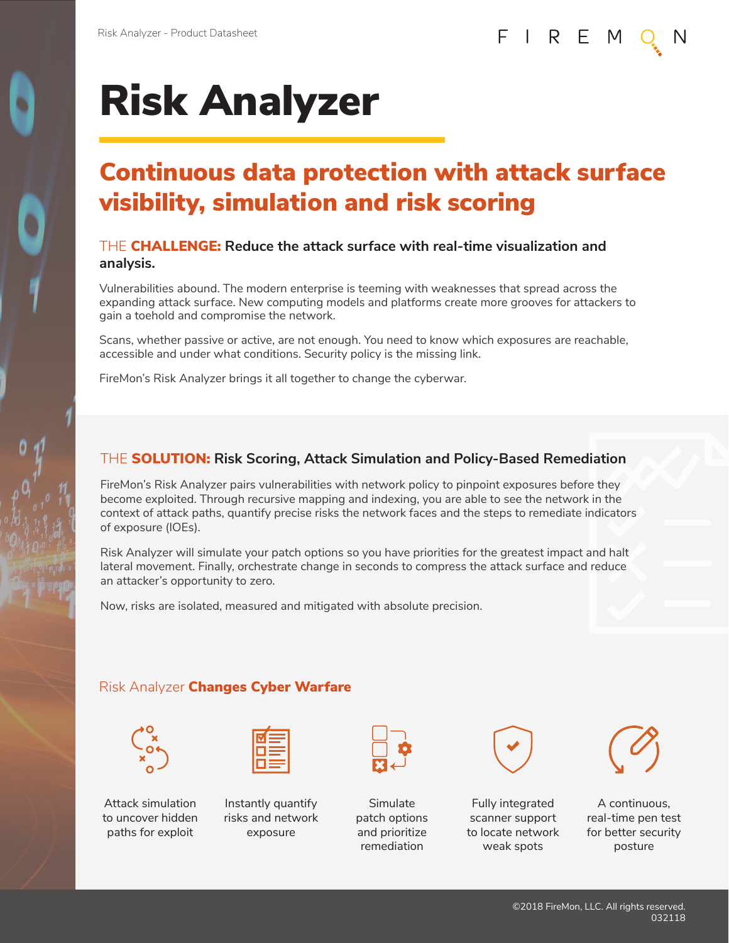

# Continuous data protection with attack surface visibility, simulation and risk scoring

# THE CHALLENGE: **Reduce the attack surface with real-time visualization and analysis.**

Vulnerabilities abound. The modern enterprise is teeming with weaknesses that spread across the expanding attack surface. New computing models and platforms create more grooves for attackers to gain a toehold and compromise the network.

Scans, whether passive or active, are not enough. You need to know which exposures are reachable, accessible and under what conditions. Security policy is the missing link.

FireMon's Risk Analyzer brings it all together to change the cyberwar.

# THE SOLUTION: **Risk Scoring, Attack Simulation and Policy-Based Remediation**

FireMon's Risk Analyzer pairs vulnerabilities with network policy to pinpoint exposures before they become exploited. Through recursive mapping and indexing, you are able to see the network in the context of attack paths, quantify precise risks the network faces and the steps to remediate indicators of exposure (IOEs).

Risk Analyzer will simulate your patch options so you have priorities for the greatest impact and halt lateral movement. Finally, orchestrate change in seconds to compress the attack surface and reduce an attacker's opportunity to zero.

Now, risks are isolated, measured and mitigated with absolute precision.

# Risk Analyzer **Changes Cyber Warfare**



Attack simulation to uncover hidden paths for exploit



Instantly quantify risks and network exposure



Simulate patch options and prioritize remediation



FIREM

Fully integrated scanner support to locate network weak spots



A continuous, real-time pen test for better security posture